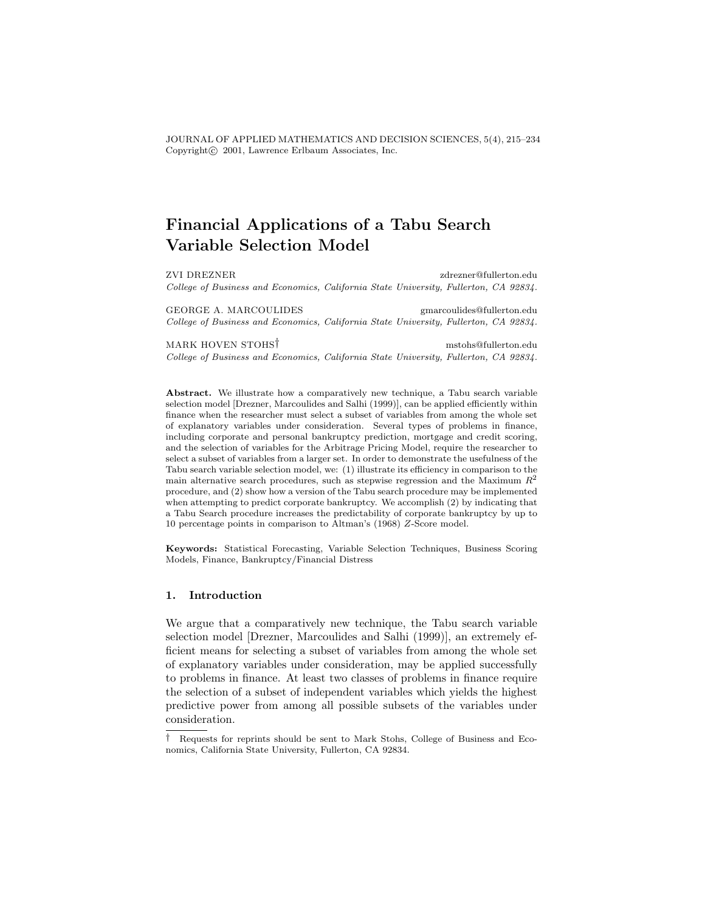# Financial Applications of a Tabu Search Variable Selection Model

ZVI DREZNER zdrezner@fullerton.edu College of Business and Economics, California State University, Fullerton, CA 92834.

GEORGE A. MARCOULIDES gmarcoulides@fullerton.edu College of Business and Economics, California State University, Fullerton, CA 92834.

MARK HOVEN STOHS<sup>†</sup> mstohs@fullerton.edu College of Business and Economics, California State University, Fullerton, CA 92834.

Abstract. We illustrate how a comparatively new technique, a Tabu search variable selection model [Drezner, Marcoulides and Salhi (1999)], can be applied efficiently within finance when the researcher must select a subset of variables from among the whole set of explanatory variables under consideration. Several types of problems in finance, including corporate and personal bankruptcy prediction, mortgage and credit scoring, and the selection of variables for the Arbitrage Pricing Model, require the researcher to select a subset of variables from a larger set. In order to demonstrate the usefulness of the Tabu search variable selection model, we: (1) illustrate its efficiency in comparison to the main alternative search procedures, such as stepwise regression and the Maximum  $R^2$ procedure, and (2) show how a version of the Tabu search procedure may be implemented when attempting to predict corporate bankruptcy. We accomplish (2) by indicating that a Tabu Search procedure increases the predictability of corporate bankruptcy by up to 10 percentage points in comparison to Altman's (1968) Z-Score model.

Keywords: Statistical Forecasting, Variable Selection Techniques, Business Scoring Models, Finance, Bankruptcy/Financial Distress

## 1. Introduction

We argue that a comparatively new technique, the Tabu search variable selection model [Drezner, Marcoulides and Salhi (1999)], an extremely efficient means for selecting a subset of variables from among the whole set of explanatory variables under consideration, may be applied successfully to problems in finance. At least two classes of problems in finance require the selection of a subset of independent variables which yields the highest predictive power from among all possible subsets of the variables under consideration.

<sup>†</sup> Requests for reprints should be sent to Mark Stohs, College of Business and Economics, California State University, Fullerton, CA 92834.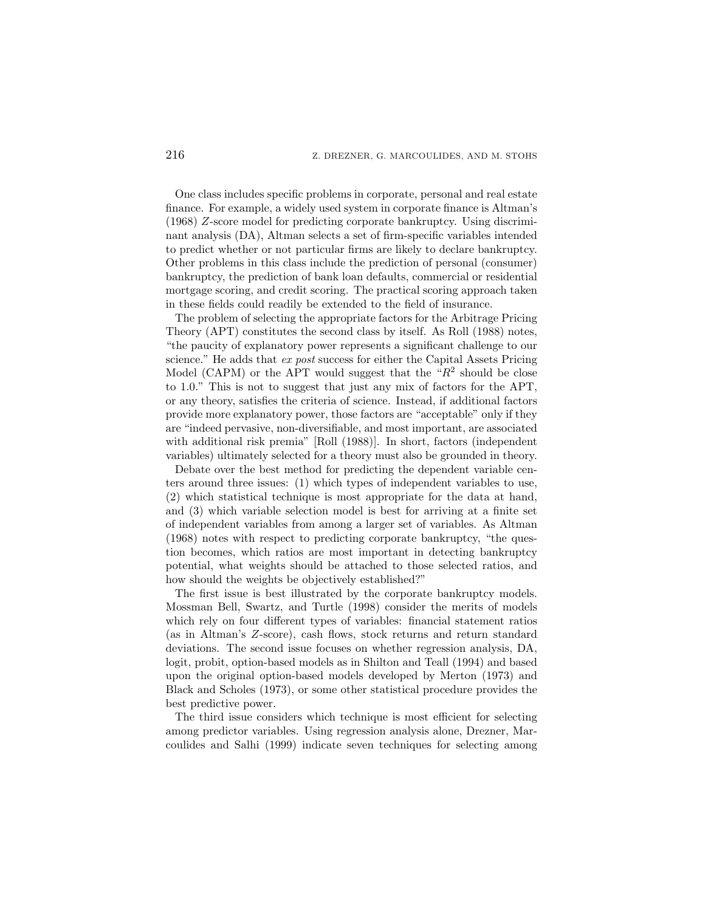One class includes specific problems in corporate, personal and real estate finance. For example, a widely used system in corporate finance is Altman's (1968) Z-score model for predicting corporate bankruptcy. Using discriminant analysis (DA), Altman selects a set of firm-specific variables intended to predict whether or not particular firms are likely to declare bankruptcy. Other problems in this class include the prediction of personal (consumer) bankruptcy, the prediction of bank loan defaults, commercial or residential mortgage scoring, and credit scoring. The practical scoring approach taken in these fields could readily be extended to the field of insurance.

The problem of selecting the appropriate factors for the Arbitrage Pricing Theory (APT) constitutes the second class by itself. As Roll (1988) notes, "the paucity of explanatory power represents a significant challenge to our science." He adds that ex post success for either the Capital Assets Pricing Model (CAPM) or the APT would suggest that the " $R^2$  should be close to 1.0." This is not to suggest that just any mix of factors for the APT, or any theory, satisfies the criteria of science. Instead, if additional factors provide more explanatory power, those factors are "acceptable" only if they are "indeed pervasive, non-diversifiable, and most important, are associated with additional risk premia" [Roll (1988)]. In short, factors (independent variables) ultimately selected for a theory must also be grounded in theory.

Debate over the best method for predicting the dependent variable centers around three issues: (1) which types of independent variables to use, (2) which statistical technique is most appropriate for the data at hand, and (3) which variable selection model is best for arriving at a finite set of independent variables from among a larger set of variables. As Altman (1968) notes with respect to predicting corporate bankruptcy, "the question becomes, which ratios are most important in detecting bankruptcy potential, what weights should be attached to those selected ratios, and how should the weights be objectively established?"

The first issue is best illustrated by the corporate bankruptcy models. Mossman Bell, Swartz, and Turtle (1998) consider the merits of models which rely on four different types of variables: financial statement ratios (as in Altman's Z-score), cash flows, stock returns and return standard deviations. The second issue focuses on whether regression analysis, DA, logit, probit, option-based models as in Shilton and Teall (1994) and based upon the original option-based models developed by Merton (1973) and Black and Scholes (1973), or some other statistical procedure provides the best predictive power.

The third issue considers which technique is most efficient for selecting among predictor variables. Using regression analysis alone, Drezner, Marcoulides and Salhi (1999) indicate seven techniques for selecting among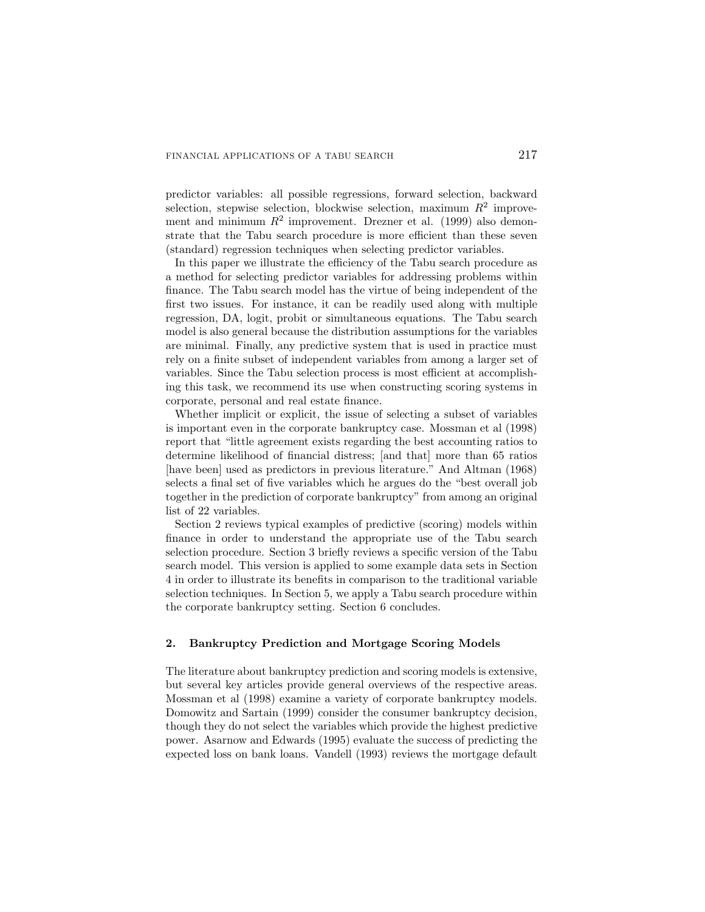predictor variables: all possible regressions, forward selection, backward selection, stepwise selection, blockwise selection, maximum  $R^2$  improvement and minimum  $R^2$  improvement. Drezner et al. (1999) also demonstrate that the Tabu search procedure is more efficient than these seven (standard) regression techniques when selecting predictor variables.

In this paper we illustrate the efficiency of the Tabu search procedure as a method for selecting predictor variables for addressing problems within finance. The Tabu search model has the virtue of being independent of the first two issues. For instance, it can be readily used along with multiple regression, DA, logit, probit or simultaneous equations. The Tabu search model is also general because the distribution assumptions for the variables are minimal. Finally, any predictive system that is used in practice must rely on a finite subset of independent variables from among a larger set of variables. Since the Tabu selection process is most efficient at accomplishing this task, we recommend its use when constructing scoring systems in corporate, personal and real estate finance.

Whether implicit or explicit, the issue of selecting a subset of variables is important even in the corporate bankruptcy case. Mossman et al (1998) report that "little agreement exists regarding the best accounting ratios to determine likelihood of financial distress; [and that] more than 65 ratios [have been] used as predictors in previous literature." And Altman (1968) selects a final set of five variables which he argues do the "best overall job together in the prediction of corporate bankruptcy" from among an original list of 22 variables.

Section 2 reviews typical examples of predictive (scoring) models within finance in order to understand the appropriate use of the Tabu search selection procedure. Section 3 briefly reviews a specific version of the Tabu search model. This version is applied to some example data sets in Section 4 in order to illustrate its benefits in comparison to the traditional variable selection techniques. In Section 5, we apply a Tabu search procedure within the corporate bankruptcy setting. Section 6 concludes.

## 2. Bankruptcy Prediction and Mortgage Scoring Models

The literature about bankruptcy prediction and scoring models is extensive, but several key articles provide general overviews of the respective areas. Mossman et al (1998) examine a variety of corporate bankruptcy models. Domowitz and Sartain (1999) consider the consumer bankruptcy decision, though they do not select the variables which provide the highest predictive power. Asarnow and Edwards (1995) evaluate the success of predicting the expected loss on bank loans. Vandell (1993) reviews the mortgage default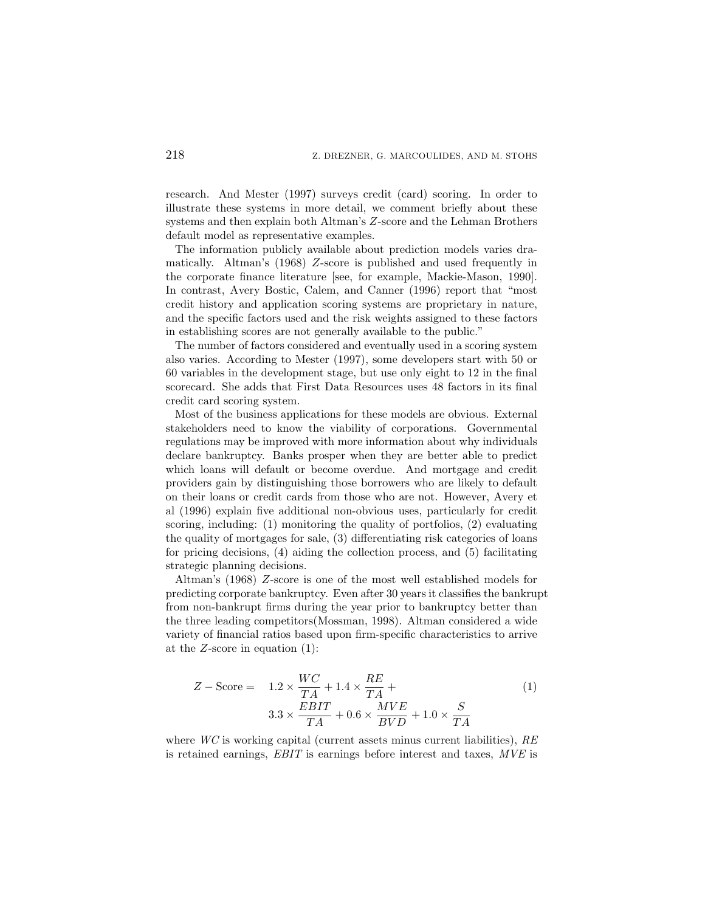research. And Mester (1997) surveys credit (card) scoring. In order to illustrate these systems in more detail, we comment briefly about these systems and then explain both Altman's Z-score and the Lehman Brothers default model as representative examples.

The information publicly available about prediction models varies dramatically. Altman's (1968) Z-score is published and used frequently in the corporate finance literature [see, for example, Mackie-Mason, 1990]. In contrast, Avery Bostic, Calem, and Canner (1996) report that "most credit history and application scoring systems are proprietary in nature, and the specific factors used and the risk weights assigned to these factors in establishing scores are not generally available to the public."

The number of factors considered and eventually used in a scoring system also varies. According to Mester (1997), some developers start with 50 or 60 variables in the development stage, but use only eight to 12 in the final scorecard. She adds that First Data Resources uses 48 factors in its final credit card scoring system.

Most of the business applications for these models are obvious. External stakeholders need to know the viability of corporations. Governmental regulations may be improved with more information about why individuals declare bankruptcy. Banks prosper when they are better able to predict which loans will default or become overdue. And mortgage and credit providers gain by distinguishing those borrowers who are likely to default on their loans or credit cards from those who are not. However, Avery et al (1996) explain five additional non-obvious uses, particularly for credit scoring, including: (1) monitoring the quality of portfolios, (2) evaluating the quality of mortgages for sale, (3) differentiating risk categories of loans for pricing decisions, (4) aiding the collection process, and (5) facilitating strategic planning decisions.

Altman's (1968) Z-score is one of the most well established models for predicting corporate bankruptcy. Even after 30 years it classifies the bankrupt from non-bankrupt firms during the year prior to bankruptcy better than the three leading competitors(Mossman, 1998). Altman considered a wide variety of financial ratios based upon firm-specific characteristics to arrive at the  $Z$ -score in equation  $(1)$ :

$$
Z - \text{Score} = 1.2 \times \frac{WC}{TA} + 1.4 \times \frac{RE}{TA} +
$$
  

$$
3.3 \times \frac{EBIT}{TA} + 0.6 \times \frac{MVE}{BVD} + 1.0 \times \frac{S}{TA}
$$
 (1)

where  $WC$  is working capital (current assets minus current liabilities),  $RE$ is retained earnings, EBIT is earnings before interest and taxes, MVE is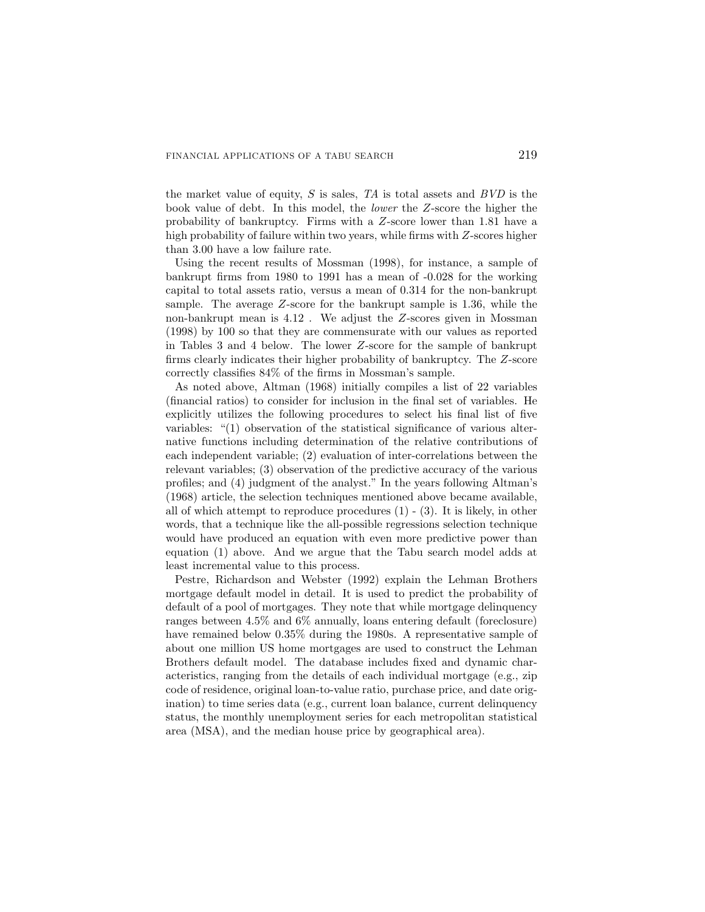the market value of equity,  $S$  is sales,  $TA$  is total assets and  $BVD$  is the book value of debt. In this model, the lower the Z-score the higher the probability of bankruptcy. Firms with a Z-score lower than 1.81 have a high probability of failure within two years, while firms with Z-scores higher than 3.00 have a low failure rate.

Using the recent results of Mossman (1998), for instance, a sample of bankrupt firms from 1980 to 1991 has a mean of -0.028 for the working capital to total assets ratio, versus a mean of 0.314 for the non-bankrupt sample. The average Z-score for the bankrupt sample is 1.36, while the non-bankrupt mean is 4.12 . We adjust the Z-scores given in Mossman (1998) by 100 so that they are commensurate with our values as reported in Tables 3 and 4 below. The lower Z-score for the sample of bankrupt firms clearly indicates their higher probability of bankruptcy. The Z-score correctly classifies 84% of the firms in Mossman's sample.

As noted above, Altman (1968) initially compiles a list of 22 variables (financial ratios) to consider for inclusion in the final set of variables. He explicitly utilizes the following procedures to select his final list of five variables: "(1) observation of the statistical significance of various alternative functions including determination of the relative contributions of each independent variable; (2) evaluation of inter-correlations between the relevant variables; (3) observation of the predictive accuracy of the various profiles; and (4) judgment of the analyst." In the years following Altman's (1968) article, the selection techniques mentioned above became available, all of which attempt to reproduce procedures (1) - (3). It is likely, in other words, that a technique like the all-possible regressions selection technique would have produced an equation with even more predictive power than equation (1) above. And we argue that the Tabu search model adds at least incremental value to this process.

Pestre, Richardson and Webster (1992) explain the Lehman Brothers mortgage default model in detail. It is used to predict the probability of default of a pool of mortgages. They note that while mortgage delinquency ranges between 4.5% and 6% annually, loans entering default (foreclosure) have remained below 0.35% during the 1980s. A representative sample of about one million US home mortgages are used to construct the Lehman Brothers default model. The database includes fixed and dynamic characteristics, ranging from the details of each individual mortgage (e.g., zip code of residence, original loan-to-value ratio, purchase price, and date origination) to time series data (e.g., current loan balance, current delinquency status, the monthly unemployment series for each metropolitan statistical area (MSA), and the median house price by geographical area).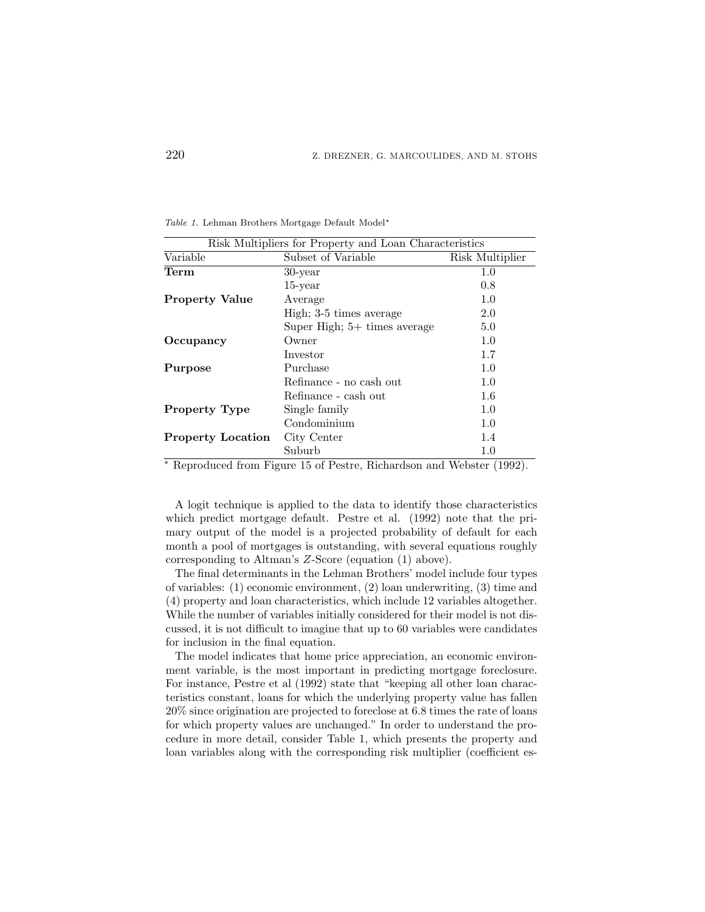Table 1. Lehman Brothers Mortgage Default Model<sup>∗</sup>

| Risk Multipliers for Property and Loan Characteristics |                                |                 |  |  |  |  |
|--------------------------------------------------------|--------------------------------|-----------------|--|--|--|--|
| Variable                                               | Subset of Variable             | Risk Multiplier |  |  |  |  |
| Term                                                   | $30$ -year                     | 1.0             |  |  |  |  |
|                                                        | $15$ -year                     | 0.8             |  |  |  |  |
| <b>Property Value</b>                                  | Average                        | 1.0             |  |  |  |  |
|                                                        | High; 3-5 times average        | 2.0             |  |  |  |  |
|                                                        | Super High; $5+$ times average | 5.0             |  |  |  |  |
| Occupancy                                              | Owner                          | 1.0             |  |  |  |  |
|                                                        | Investor                       | 1.7             |  |  |  |  |
| Purpose                                                | Purchase                       | 1.0             |  |  |  |  |
|                                                        | Refinance - no cash out        | 1.0             |  |  |  |  |
|                                                        | Refinance - cash out           | $1.6\,$         |  |  |  |  |
| <b>Property Type</b>                                   | Single family                  | 1.0             |  |  |  |  |
|                                                        | Condominium                    | 1.0             |  |  |  |  |
| <b>Property Location</b>                               | City Center                    | 1.4             |  |  |  |  |
|                                                        | Suburb                         | 1.0             |  |  |  |  |

<sup>∗</sup> Reproduced from Figure 15 of Pestre, Richardson and Webster (1992).

A logit technique is applied to the data to identify those characteristics which predict mortgage default. Pestre et al. (1992) note that the primary output of the model is a projected probability of default for each month a pool of mortgages is outstanding, with several equations roughly corresponding to Altman's Z-Score (equation (1) above).

The final determinants in the Lehman Brothers' model include four types of variables: (1) economic environment, (2) loan underwriting, (3) time and (4) property and loan characteristics, which include 12 variables altogether. While the number of variables initially considered for their model is not discussed, it is not difficult to imagine that up to 60 variables were candidates for inclusion in the final equation.

The model indicates that home price appreciation, an economic environment variable, is the most important in predicting mortgage foreclosure. For instance, Pestre et al (1992) state that "keeping all other loan characteristics constant, loans for which the underlying property value has fallen 20% since origination are projected to foreclose at 6.8 times the rate of loans for which property values are unchanged." In order to understand the procedure in more detail, consider Table 1, which presents the property and loan variables along with the corresponding risk multiplier (coefficient es-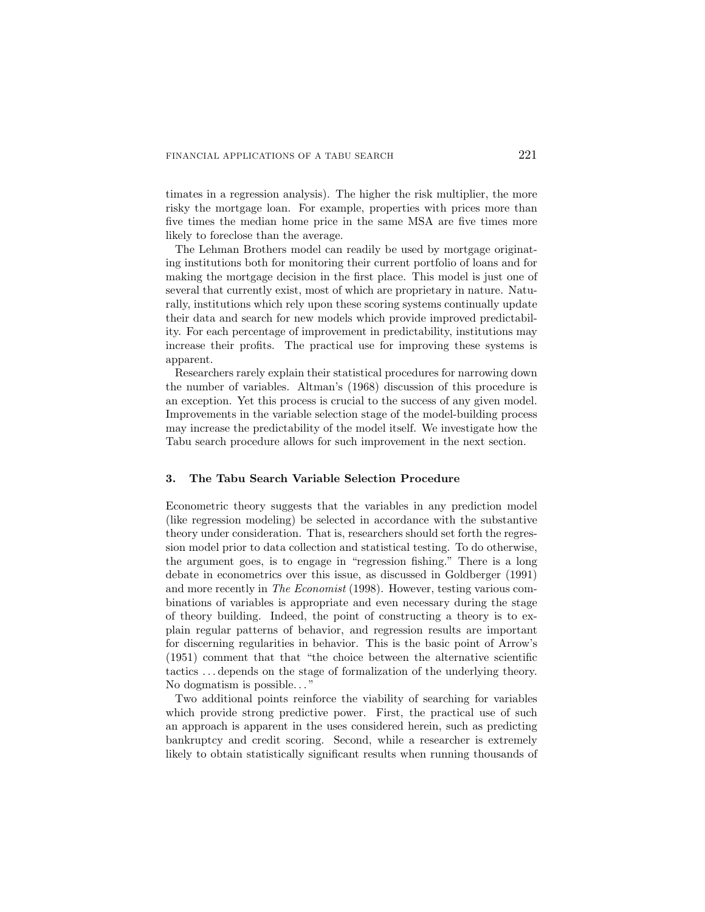timates in a regression analysis). The higher the risk multiplier, the more risky the mortgage loan. For example, properties with prices more than five times the median home price in the same MSA are five times more likely to foreclose than the average.

The Lehman Brothers model can readily be used by mortgage originating institutions both for monitoring their current portfolio of loans and for making the mortgage decision in the first place. This model is just one of several that currently exist, most of which are proprietary in nature. Naturally, institutions which rely upon these scoring systems continually update their data and search for new models which provide improved predictability. For each percentage of improvement in predictability, institutions may increase their profits. The practical use for improving these systems is apparent.

Researchers rarely explain their statistical procedures for narrowing down the number of variables. Altman's (1968) discussion of this procedure is an exception. Yet this process is crucial to the success of any given model. Improvements in the variable selection stage of the model-building process may increase the predictability of the model itself. We investigate how the Tabu search procedure allows for such improvement in the next section.

### 3. The Tabu Search Variable Selection Procedure

Econometric theory suggests that the variables in any prediction model (like regression modeling) be selected in accordance with the substantive theory under consideration. That is, researchers should set forth the regression model prior to data collection and statistical testing. To do otherwise, the argument goes, is to engage in "regression fishing." There is a long debate in econometrics over this issue, as discussed in Goldberger (1991) and more recently in The Economist (1998). However, testing various combinations of variables is appropriate and even necessary during the stage of theory building. Indeed, the point of constructing a theory is to explain regular patterns of behavior, and regression results are important for discerning regularities in behavior. This is the basic point of Arrow's (1951) comment that that "the choice between the alternative scientific tactics . . . depends on the stage of formalization of the underlying theory. No dogmatism is possible. . . "

Two additional points reinforce the viability of searching for variables which provide strong predictive power. First, the practical use of such an approach is apparent in the uses considered herein, such as predicting bankruptcy and credit scoring. Second, while a researcher is extremely likely to obtain statistically significant results when running thousands of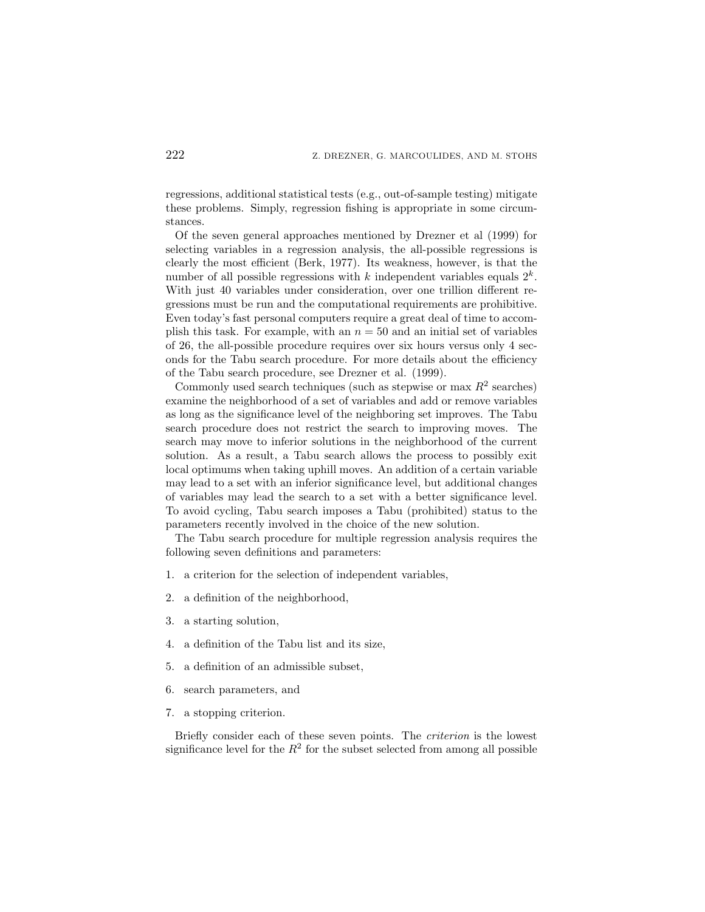regressions, additional statistical tests (e.g., out-of-sample testing) mitigate these problems. Simply, regression fishing is appropriate in some circumstances.

Of the seven general approaches mentioned by Drezner et al (1999) for selecting variables in a regression analysis, the all-possible regressions is clearly the most efficient (Berk, 1977). Its weakness, however, is that the number of all possible regressions with  $k$  independent variables equals  $2^k$ . With just 40 variables under consideration, over one trillion different regressions must be run and the computational requirements are prohibitive. Even today's fast personal computers require a great deal of time to accomplish this task. For example, with an  $n = 50$  and an initial set of variables of 26, the all-possible procedure requires over six hours versus only 4 seconds for the Tabu search procedure. For more details about the efficiency of the Tabu search procedure, see Drezner et al. (1999).

Commonly used search techniques (such as stepwise or max  $R^2$  searches) examine the neighborhood of a set of variables and add or remove variables as long as the significance level of the neighboring set improves. The Tabu search procedure does not restrict the search to improving moves. The search may move to inferior solutions in the neighborhood of the current solution. As a result, a Tabu search allows the process to possibly exit local optimums when taking uphill moves. An addition of a certain variable may lead to a set with an inferior significance level, but additional changes of variables may lead the search to a set with a better significance level. To avoid cycling, Tabu search imposes a Tabu (prohibited) status to the parameters recently involved in the choice of the new solution.

The Tabu search procedure for multiple regression analysis requires the following seven definitions and parameters:

- 1. a criterion for the selection of independent variables,
- 2. a definition of the neighborhood,
- 3. a starting solution,
- 4. a definition of the Tabu list and its size,
- 5. a definition of an admissible subset,
- 6. search parameters, and
- 7. a stopping criterion.

Briefly consider each of these seven points. The criterion is the lowest significance level for the  $R^2$  for the subset selected from among all possible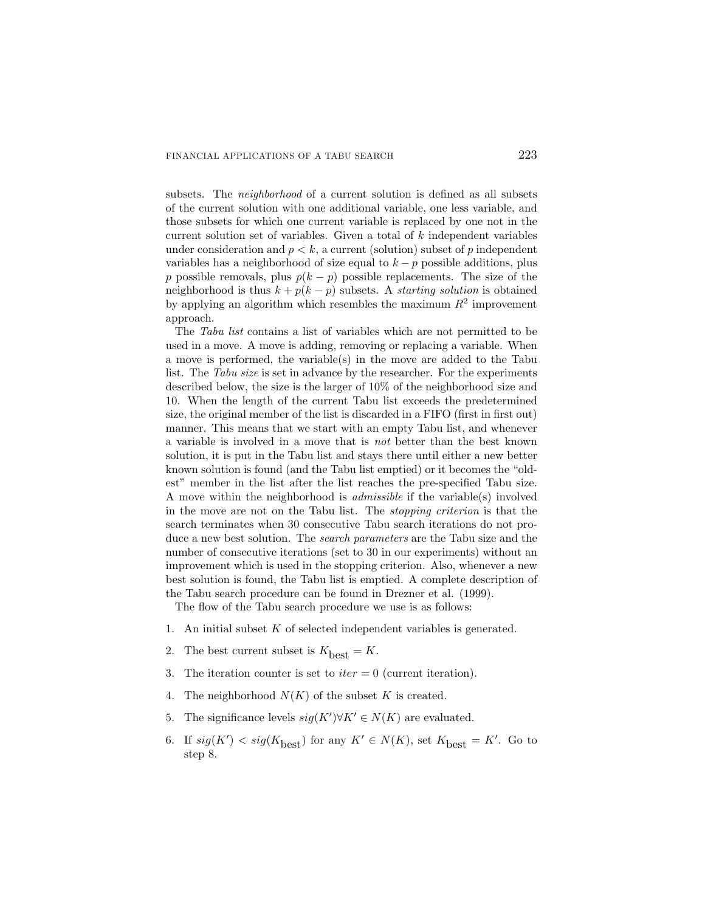subsets. The *neighborhood* of a current solution is defined as all subsets of the current solution with one additional variable, one less variable, and those subsets for which one current variable is replaced by one not in the current solution set of variables. Given a total of  $k$  independent variables under consideration and  $p \leq k$ , a current (solution) subset of p independent variables has a neighborhood of size equal to  $k - p$  possible additions, plus p possible removals, plus  $p(k - p)$  possible replacements. The size of the neighborhood is thus  $k + p(k - p)$  subsets. A *starting solution* is obtained by applying an algorithm which resembles the maximum  $R^2$  improvement approach.

The Tabu list contains a list of variables which are not permitted to be used in a move. A move is adding, removing or replacing a variable. When a move is performed, the variable(s) in the move are added to the Tabu list. The Tabu size is set in advance by the researcher. For the experiments described below, the size is the larger of 10% of the neighborhood size and 10. When the length of the current Tabu list exceeds the predetermined size, the original member of the list is discarded in a FIFO (first in first out) manner. This means that we start with an empty Tabu list, and whenever a variable is involved in a move that is not better than the best known solution, it is put in the Tabu list and stays there until either a new better known solution is found (and the Tabu list emptied) or it becomes the "oldest" member in the list after the list reaches the pre-specified Tabu size. A move within the neighborhood is admissible if the variable(s) involved in the move are not on the Tabu list. The stopping criterion is that the search terminates when 30 consecutive Tabu search iterations do not produce a new best solution. The search parameters are the Tabu size and the number of consecutive iterations (set to 30 in our experiments) without an improvement which is used in the stopping criterion. Also, whenever a new best solution is found, the Tabu list is emptied. A complete description of the Tabu search procedure can be found in Drezner et al. (1999).

The flow of the Tabu search procedure we use is as follows:

- 1. An initial subset  $K$  of selected independent variables is generated.
- 2. The best current subset is  $K_{\text{best}} = K$ .
- 3. The iteration counter is set to  $iter = 0$  (current iteration).
- 4. The neighborhood  $N(K)$  of the subset K is created.
- 5. The significance levels  $sig(K')\forall K' \in N(K)$  are evaluated.
- 6. If  $sig(K') < sig(K_{\text{best}})$  for any  $K' \in N(K)$ , set  $K_{\text{best}} = K'$ . Go to step 8.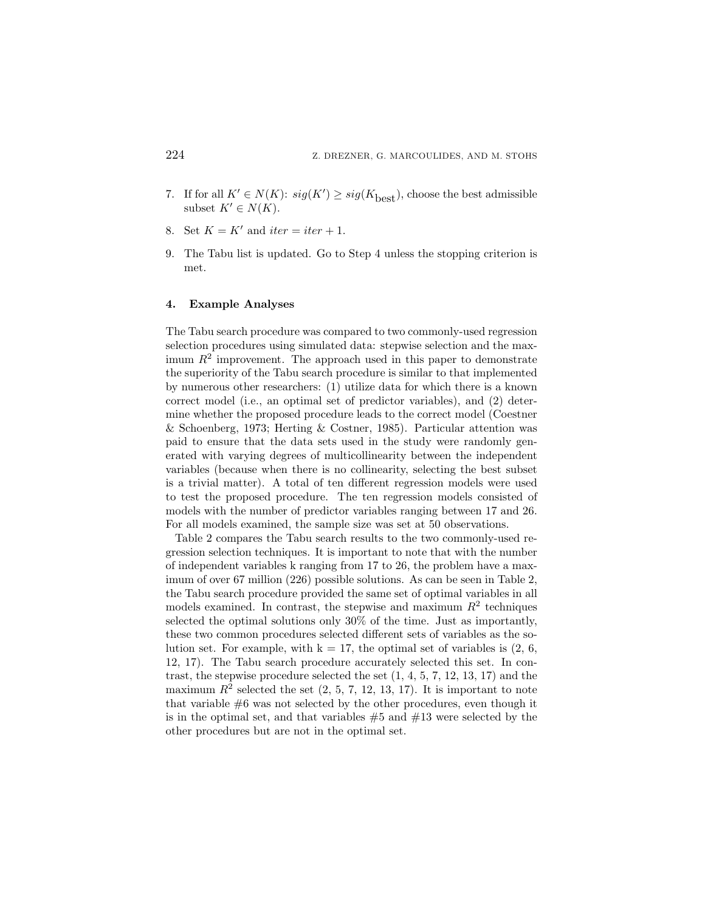- 7. If for all  $K' \in N(K)$ :  $sig(K') \geq sig(K_{\text{best}})$ , choose the best admissible subset  $K' \in N(K)$ .
- 8. Set  $K = K'$  and iter = iter + 1.
- 9. The Tabu list is updated. Go to Step 4 unless the stopping criterion is met.

### 4. Example Analyses

The Tabu search procedure was compared to two commonly-used regression selection procedures using simulated data: stepwise selection and the maximum  $R<sup>2</sup>$  improvement. The approach used in this paper to demonstrate the superiority of the Tabu search procedure is similar to that implemented by numerous other researchers: (1) utilize data for which there is a known correct model (i.e., an optimal set of predictor variables), and (2) determine whether the proposed procedure leads to the correct model (Coestner & Schoenberg, 1973; Herting & Costner, 1985). Particular attention was paid to ensure that the data sets used in the study were randomly generated with varying degrees of multicollinearity between the independent variables (because when there is no collinearity, selecting the best subset is a trivial matter). A total of ten different regression models were used to test the proposed procedure. The ten regression models consisted of models with the number of predictor variables ranging between 17 and 26. For all models examined, the sample size was set at 50 observations.

Table 2 compares the Tabu search results to the two commonly-used regression selection techniques. It is important to note that with the number of independent variables k ranging from 17 to 26, the problem have a maximum of over 67 million (226) possible solutions. As can be seen in Table 2, the Tabu search procedure provided the same set of optimal variables in all models examined. In contrast, the stepwise and maximum  $R^2$  techniques selected the optimal solutions only 30% of the time. Just as importantly, these two common procedures selected different sets of variables as the solution set. For example, with  $k = 17$ , the optimal set of variables is  $(2, 6, 1)$ 12, 17). The Tabu search procedure accurately selected this set. In contrast, the stepwise procedure selected the set  $(1, 4, 5, 7, 12, 13, 17)$  and the maximum  $R^2$  selected the set  $(2, 5, 7, 12, 13, 17)$ . It is important to note that variable  $#6$  was not selected by the other procedures, even though it is in the optimal set, and that variables  $#5$  and  $#13$  were selected by the other procedures but are not in the optimal set.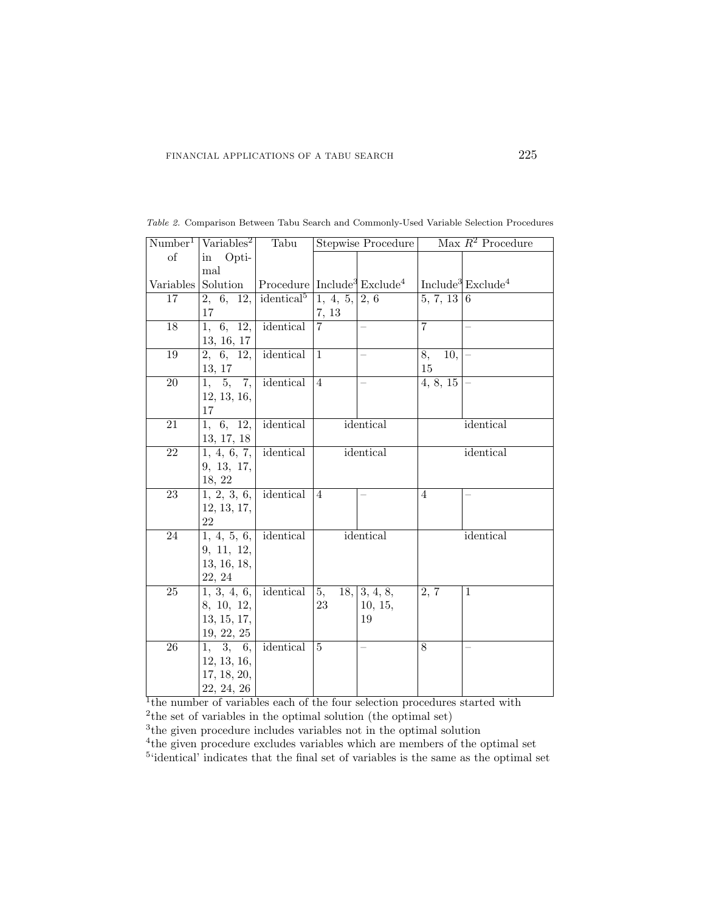|                 | $\overline{\text{Number}^1   \text{Variables}^2}$ | Tabu                                                  | Stepwise Procedure |              | Max $R^2$ Procedure |                                           |
|-----------------|---------------------------------------------------|-------------------------------------------------------|--------------------|--------------|---------------------|-------------------------------------------|
| of              | in Opti-                                          |                                                       |                    |              |                     |                                           |
|                 | mal                                               |                                                       |                    |              |                     |                                           |
| Variables       | Solution                                          | Procedure   Include <sup>3</sup> Exclude <sup>4</sup> |                    |              |                     | Include <sup>3</sup> Exclude <sup>4</sup> |
| 17              | 2, 6, 12,                                         | identical <sup>5</sup>                                | 1, 4, 5, 2, 6      |              | $5, 7, 13 \mid 6$   |                                           |
|                 | 17                                                |                                                       | 7, 13              |              |                     |                                           |
| 18              | 1, 6, 12,                                         | identical                                             | $\overline{7}$     |              | $\overline{7}$      |                                           |
|                 | 13, 16, 17                                        |                                                       |                    |              |                     |                                           |
| 19              | 2, 6, 12,                                         | identical                                             | $\mathbf{1}$       |              | 10,<br>8,           |                                           |
|                 | 13, 17                                            |                                                       |                    |              | 15                  |                                           |
| $\overline{20}$ | $\overline{1, 5, 7,}$                             | identical                                             | $\overline{4}$     |              | 4, 8, 15            |                                           |
|                 | 12, 13, 16,                                       |                                                       |                    |              |                     |                                           |
|                 | 17                                                |                                                       |                    |              |                     |                                           |
| $\overline{21}$ | $\overline{1, 6, 12,}$                            | identical                                             |                    | identical    |                     | identical                                 |
|                 | 13, 17, 18                                        |                                                       |                    |              |                     |                                           |
| 22              | $\overline{1, 4, 6, 7}$                           | identical                                             |                    | identical    |                     | identical                                 |
|                 | 9, 13, 17,                                        |                                                       |                    |              |                     |                                           |
|                 | 18, 22                                            |                                                       |                    |              |                     |                                           |
| $\overline{23}$ | $\overline{1, 2, 3, 6}$                           | identical                                             | $\overline{4}$     |              | $\overline{4}$      |                                           |
|                 | 12, 13, 17,                                       |                                                       |                    |              |                     |                                           |
|                 | 22                                                |                                                       |                    |              |                     |                                           |
| 24              | 1, 4, 5, 6,                                       | identical                                             |                    | identical    |                     | identical                                 |
|                 | 9, 11, 12,                                        |                                                       |                    |              |                     |                                           |
|                 | 13, 16, 18,                                       |                                                       |                    |              |                     |                                           |
|                 | 22, 24                                            |                                                       |                    |              |                     |                                           |
| $\overline{25}$ | 1, 3, 4, 6,                                       | identical                                             | 5,                 | 18, 3, 4, 8, | 2, 7                | $\mathbf{1}$                              |
|                 | 8, 10, 12,                                        |                                                       | 23                 | 10, 15,      |                     |                                           |
|                 | 13, 15, 17,                                       |                                                       |                    | 19           |                     |                                           |
|                 | 19, 22, 25                                        |                                                       |                    |              |                     |                                           |
| $\overline{26}$ | 1, 3, 6,                                          | identical                                             | $\overline{5}$     |              | 8                   |                                           |
|                 | 12, 13, 16,                                       |                                                       |                    |              |                     |                                           |
|                 | 17, 18, 20,                                       |                                                       |                    |              |                     |                                           |
|                 | 22, 24, 26                                        |                                                       |                    |              |                     |                                           |

Table 2. Comparison Between Tabu Search and Commonly-Used Variable Selection Procedures

<sup>1</sup>the number of variables each of the four selection procedures started with <sup>2</sup>the set of variables in the optimal solution (the optimal set)

3 the given procedure includes variables not in the optimal solution

<sup>4</sup>the given procedure excludes variables which are members of the optimal set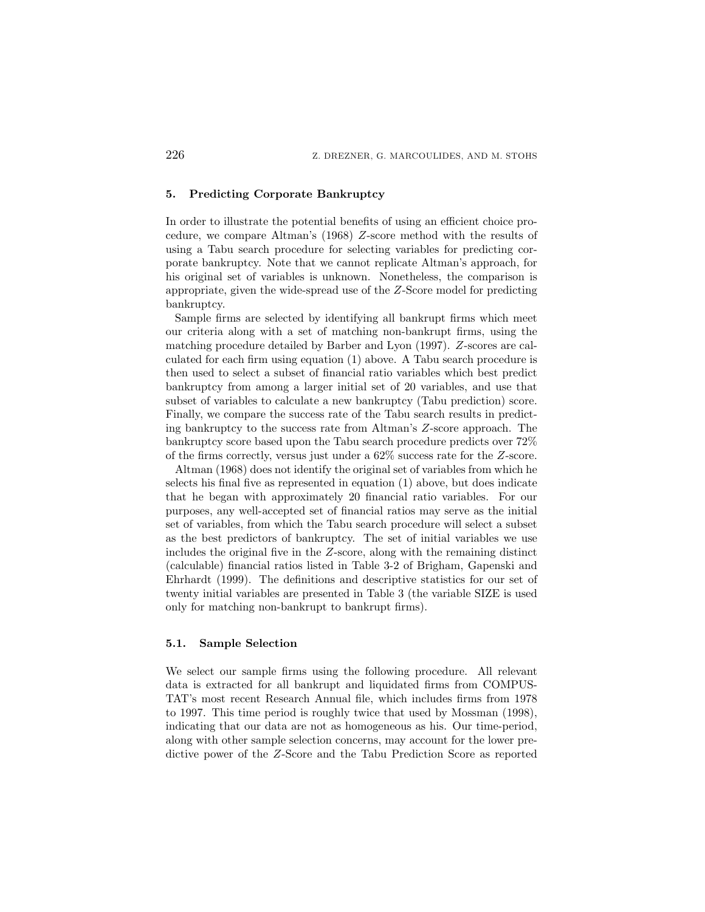#### 5. Predicting Corporate Bankruptcy

In order to illustrate the potential benefits of using an efficient choice procedure, we compare Altman's (1968) Z-score method with the results of using a Tabu search procedure for selecting variables for predicting corporate bankruptcy. Note that we cannot replicate Altman's approach, for his original set of variables is unknown. Nonetheless, the comparison is appropriate, given the wide-spread use of the Z-Score model for predicting bankruptcy.

Sample firms are selected by identifying all bankrupt firms which meet our criteria along with a set of matching non-bankrupt firms, using the matching procedure detailed by Barber and Lyon (1997). Z-scores are calculated for each firm using equation (1) above. A Tabu search procedure is then used to select a subset of financial ratio variables which best predict bankruptcy from among a larger initial set of 20 variables, and use that subset of variables to calculate a new bankruptcy (Tabu prediction) score. Finally, we compare the success rate of the Tabu search results in predicting bankruptcy to the success rate from Altman's Z-score approach. The bankruptcy score based upon the Tabu search procedure predicts over 72% of the firms correctly, versus just under a 62% success rate for the Z-score.

Altman (1968) does not identify the original set of variables from which he selects his final five as represented in equation (1) above, but does indicate that he began with approximately 20 financial ratio variables. For our purposes, any well-accepted set of financial ratios may serve as the initial set of variables, from which the Tabu search procedure will select a subset as the best predictors of bankruptcy. The set of initial variables we use includes the original five in the Z-score, along with the remaining distinct (calculable) financial ratios listed in Table 3-2 of Brigham, Gapenski and Ehrhardt (1999). The definitions and descriptive statistics for our set of twenty initial variables are presented in Table 3 (the variable SIZE is used only for matching non-bankrupt to bankrupt firms).

## 5.1. Sample Selection

We select our sample firms using the following procedure. All relevant data is extracted for all bankrupt and liquidated firms from COMPUS-TAT's most recent Research Annual file, which includes firms from 1978 to 1997. This time period is roughly twice that used by Mossman (1998), indicating that our data are not as homogeneous as his. Our time-period, along with other sample selection concerns, may account for the lower predictive power of the Z-Score and the Tabu Prediction Score as reported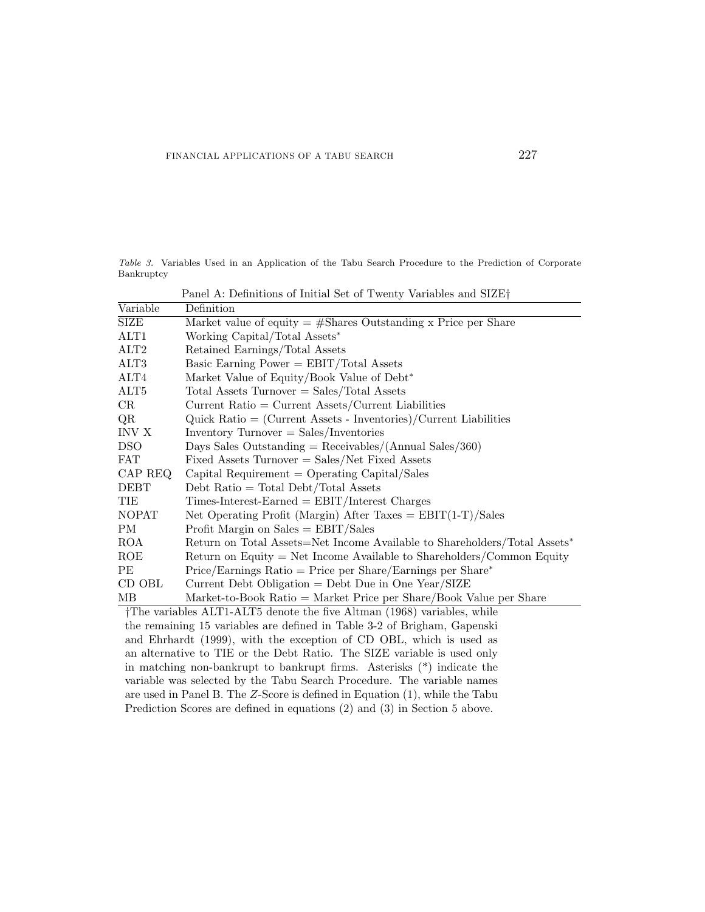Table 3. Variables Used in an Application of the Tabu Search Procedure to the Prediction of Corporate Bankruptcy

|                  | Panel A: Definitions of Initial Set of Twenty Variables and SIZE <sup>†</sup> |
|------------------|-------------------------------------------------------------------------------|
| Variable         | Definition                                                                    |
| SIZE             | Market value of equity $=$ #Shares Outstanding x Price per Share              |
| ALT1             | Working Capital/Total Assets*                                                 |
| $\rm{ALT2}$      | Retained Earnings/Total Assets                                                |
| ALT3             | Basic Earning Power = $EBIT/Total$ Assets                                     |
| ALT4             | Market Value of Equity/Book Value of Debt*                                    |
| ALT <sub>5</sub> | $Total Assets Turnover = Sales/Total Assets$                                  |
| CR               | $Current Ratio = Current Assets/Current Liabilities$                          |
| QR               | Quick Ratio $=$ (Current Assets - Inventories)/Current Liabilities            |
| INV X            | Inventory Turnover $=$ Sales/Inventories                                      |
| <b>DSO</b>       | Days Sales Outstanding = Receivables/(Annual Sales/360)                       |
| FAT              | Fixed Assets Turnover $=$ Sales/Net Fixed Assets                              |
| CAP REQ          | Capital Requirement $=$ Operating Capital/Sales                               |
| DEBT             | Debt Ratio = Total Debt/Total Assets                                          |
| TIE              | $Times-Interest-Earned = EBIT/Interest Changes$                               |
| <b>NOPAT</b>     | Net Operating Profit (Margin) After Taxes = $EBIT(1-T)/Sales$                 |
| PM               | Profit Margin on Sales $=$ EBIT/Sales                                         |
| <b>ROA</b>       | Return on Total Assets=Net Income Available to Shareholders/Total Assets*     |
| ROE              | Return on Equity = Net Income Available to Shareholders/Common Equity         |
| PE               | $Price/Earnings Ratio = Price per Share/Earnings per Share*$                  |
| CD OBL           | Current Debt Obligation = Debt Due in One Year/SIZE                           |
| MВ               | Market-to-Book Ratio = Market Price per Share/Book Value per Share            |
|                  | The variables ALT1-ALT5 denote the five Altman (1968) variables, while        |
|                  | the remaining 15 variables are defined in Table 3-2 of Brigham, Gapenski      |

the remaining 15 variables are defined in Table 3-2 of Brigham, Gapenski and Ehrhardt (1999), with the exception of CD OBL, which is used as an alternative to TIE or the Debt Ratio. The SIZE variable is used only in matching non-bankrupt to bankrupt firms. Asterisks (\*) indicate the variable was selected by the Tabu Search Procedure. The variable names are used in Panel B. The Z-Score is defined in Equation (1), while the Tabu Prediction Scores are defined in equations (2) and (3) in Section 5 above.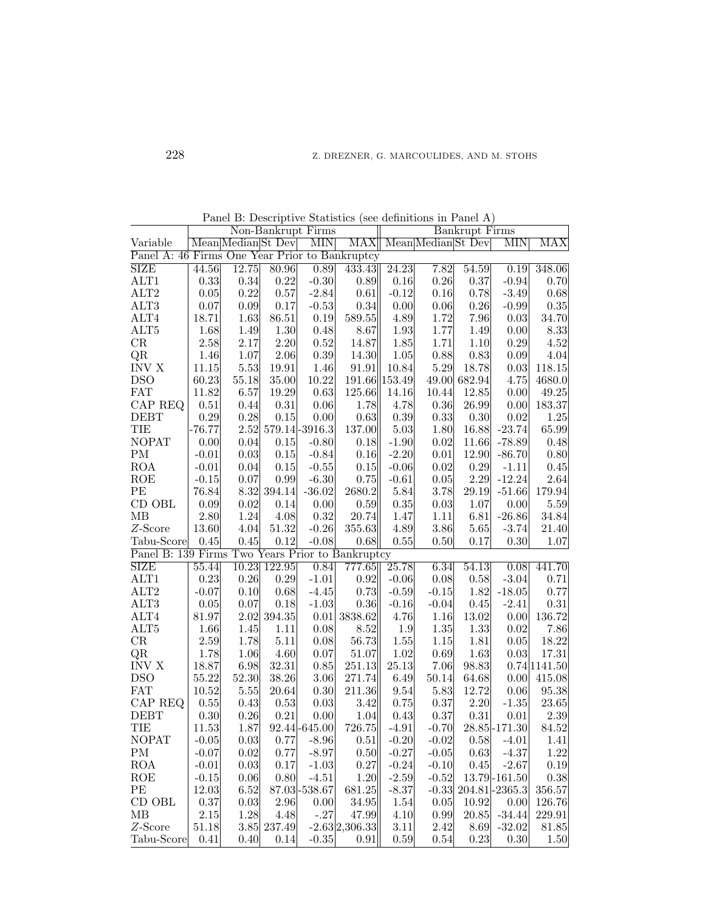|                                                  | Non-Bankrupt Firms                      |          |                           |                           | <b>Bankrupt Firms</b> |         |          |          |                   |              |
|--------------------------------------------------|-----------------------------------------|----------|---------------------------|---------------------------|-----------------------|---------|----------|----------|-------------------|--------------|
| Variable                                         | Mean Median St Dev<br><b>MIN</b><br>MAX |          |                           | Mean Median St Dev<br>MIN |                       |         |          | MAX      |                   |              |
| Panel A: 46 Firms One Year Prior to Bankruptcy   |                                         |          |                           |                           |                       |         |          |          |                   |              |
| <b>SIZE</b>                                      | 44.56                                   | 12.75    | 80.96                     | 0.89                      | 433.43                | 24.23   | 7.82     | 54.59    | 0.19              | 348.06       |
| ALT1                                             | 0.33                                    | 0.34     | 0.22                      | $-0.30$                   | 0.89                  | 0.16    | $0.26\,$ | 0.37     | $-0.94$           | 0.70         |
| ALT2                                             | 0.05                                    | 0.22     | 0.57                      | $-2.84$                   | 0.61                  | $-0.12$ | 0.16     | 0.78     | $-3.49$           | 0.68         |
| ALT3                                             | 0.07                                    | 0.09     | 0.17                      | $-0.53$                   | 0.34                  | 0.00    | 0.06     | 0.26     | $-0.99$           | $0.35\,$     |
| ALT4                                             | 18.71                                   | 1.63     | 86.51                     | 0.19                      | 589.55                | 4.89    | 1.72     | 7.96     | 0.03              | 34.70        |
| ALT <sub>5</sub>                                 | 1.68                                    | 1.49     | 1.30                      | 0.48                      | 8.67                  | 1.93    | 1.77     | 1.49     | 0.00              | 8.33         |
| CR                                               | 2.58                                    | 2.17     | 2.20                      | 0.52                      | 14.87                 | 1.85    | 1.71     | 1.10     | 0.29              | 4.52         |
| QR                                               | 1.46                                    | 1.07     | 2.06                      | 0.39                      | 14.30                 | 1.05    | 0.88     | 0.83     | 0.09              | 4.04         |
| <b>INV X</b>                                     | 11.15                                   | 5.53     | 19.91                     | 1.46                      | 91.91                 | 10.84   | 5.29     | 18.78    | 0.03              | 118.15       |
| <b>DSO</b>                                       | 60.23                                   | 55.18    | 35.00                     | 10.22                     | 191.66 153.49         |         | 49.00    | 682.94   | 4.75              | 4680.0       |
| <b>FAT</b>                                       | 11.82                                   | 6.57     | 19.29                     | 0.63                      | 125.66                | 14.16   | 10.44    | 12.85    | 0.00              | 49.25        |
| CAP REQ                                          | 0.51                                    | 0.44     | 0.31                      | 0.06                      | 1.78                  | 4.78    | 0.36     | 26.99    | 0.00              | 183.37       |
| <b>DEBT</b>                                      | 0.29                                    | 0.28     | 0.15                      | 0.00                      | 0.63                  | 0.39    | 0.33     | 0.30     | 0.02              | 1.25         |
| TIE                                              | $-76.77$                                | 2.52     |                           | 579.14 - 3916.3           | 137.00                | 5.03    | 1.80     | 16.88    | $-23.74$          | 65.99        |
| <b>NOPAT</b>                                     | 0.00                                    | 0.04     | 0.15                      | $-0.80$                   | 0.18                  | $-1.90$ | 0.02     | 11.66    | $-78.89$          | 0.48         |
| PM                                               | $-0.01$                                 | 0.03     | 0.15                      | $-0.84$                   | 0.16                  | $-2.20$ | 0.01     | 12.90    | $-86.70$          | 0.80         |
| <b>ROA</b>                                       | $-0.01$                                 | 0.04     | 0.15                      | $-0.55$                   | 0.15                  | $-0.06$ | 0.02     | 0.29     | $-1.11$           | 0.45         |
| ROE                                              | $-0.15$                                 | 0.07     | 0.99                      | $-6.30$                   | 0.75                  | $-0.61$ | $0.05\,$ | 2.29     | $-12.24$          | 2.64         |
| PE                                               | 76.84                                   | 8.32     | 394.14                    | $-36.02$                  | 2680.2                | 5.84    | 3.78     | 29.19    | $-51.66$          | 179.94       |
| CD OBL                                           | 0.09                                    | 0.02     | 0.14                      | 0.00                      | 0.59                  | 0.35    | 0.03     | 1.07     | 0.00              | 5.59         |
| MB                                               | 2.80                                    | 1.24     | 4.08                      | 0.32                      | 20.74                 | 1.47    | 1.11     | 6.81     | $-26.86$          | 34.84        |
| Z-Score                                          | 13.60                                   | 4.04     | 51.32                     | $-0.26$                   | $355.63\,$            | 4.89    | 3.86     | 5.65     | $-3.74$           | 21.40        |
| Tabu-Score                                       | 0.45                                    | 0.45     | 0.12                      | $-0.08$                   | 0.68                  | 0.55    | 0.50     | 0.17     | 0.30              | 1.07         |
| Panel B: 139 Firms Two Years Prior to Bankruptcy |                                         |          |                           |                           |                       |         |          |          |                   |              |
| $\overline{\text{SIZE}}$                         | 55.44                                   |          | $\overline{10.23}$ 122.95 | 0.84                      | 777.65                | 25.78   | 6.34     | 54.13    | 0.08              | 441.70       |
| ALT1                                             | 0.23                                    | $0.26\,$ | 0.29                      | $-1.01$                   | 0.92                  | $-0.06$ | 0.08     | 0.58     | $-3.04$           | 0.71         |
| ALT2                                             | $-0.07$                                 | 0.10     | 0.68                      | $-4.45$                   | 0.73                  | $-0.59$ | $-0.15$  | 1.82     | $-18.05$          | 0.77         |
| ALT3                                             | 0.05                                    | 0.07     | 0.18                      | $-1.03$                   | 0.36                  | $-0.16$ | $-0.04$  | 0.45     | $-2.41$           | 0.31         |
| ALT4                                             | 81.97                                   | $2.02\,$ | 394.35                    | 0.01                      | 3838.62               | 4.76    | 1.16     | 13.02    | 0.00              | 136.72       |
| ALT <sub>5</sub>                                 | 1.66                                    | 1.45     | 1.11                      | 0.08                      | 8.52                  | 1.9     | $1.35\,$ | 1.33     | 0.02              | 7.86         |
| CR                                               | 2.59                                    | 1.78     | 5.11                      | 0.08                      | 56.73                 | 1.55    | 1.15     | 1.81     | 0.05              | 18.22        |
| QR                                               | 1.78                                    | 1.06     | 4.60                      | 0.07                      | 51.07                 | 1.02    | 0.69     | 1.63     | 0.03              | 17.31        |
| <b>INV X</b>                                     | 18.87                                   | 6.98     | 32.31                     | 0.85                      | 251.13                | 25.13   | 7.06     | 98.83    |                   | 0.74 1141.50 |
| <b>DSO</b>                                       | 55.22                                   | 52.30    | 38.26                     | 3.06                      | 271.74                | 6.49    | 50.14    | 64.68    | 0.00              | 415.08       |
| <b>FAT</b>                                       | 10.52                                   | 5.55     | 20.64                     | 0.30                      | 211.36                | 9.54    | 5.83     | 12.72    | 0.06              | 95.38        |
| CAP REQ                                          | 0.55                                    | 0.43     | 0.53                      | 0.03                      | 3.42                  | 0.75    | 0.37     | $2.20\,$ | $-1.35$           | 23.65        |
| <b>DEBT</b>                                      | 0.30                                    | 0.26     | 0.21                      | 0.00                      | 1.04                  | 0.43    | 0.37     | 0.31     | 0.01              | 2.39         |
| TIE                                              | 11.53                                   | 1.87     |                           | 92.44 - 645.00            | 726.75                | $-4.91$ | $-0.70$  |          | 28.85 - 171.30    | 84.52        |
| <b>NOPAT</b>                                     | $-0.05$                                 | $0.03\,$ | 0.77                      | $-8.96$                   | 0.51                  | $-0.20$ | $-0.02$  | 0.58     | $-4.01$           | 1.41         |
| PM                                               | $-0.07$                                 | $0.02\,$ | 0.77                      | $-8.97$                   | 0.50                  | $-0.27$ | $-0.05$  | 0.63     | $-4.37$           | 1.22         |
| <b>ROA</b>                                       | $-0.01$                                 | 0.03     | 0.17                      | $-1.03$                   | 0.27                  | $-0.24$ | $-0.10$  | 0.45     | $-2.67$           | 0.19         |
| ROE                                              | $-0.15$                                 | 0.06     | 0.80                      | $-4.51$                   | 1.20                  | $-2.59$ | $-0.52$  |          | 13.79 - 161.50    | $0.38\,$     |
| PE                                               | 12.03                                   | 6.52     |                           | 87.03 - 538.67            | 681.25                | $-8.37$ | $-0.33$  |          | $204.81$ - 2365.3 | 356.57       |
| CD OBL                                           | 0.37                                    | 0.03     | 2.96                      | 0.00                      | 34.95                 | 1.54    | 0.05     | 10.92    | 0.00              | 126.76       |
| MB                                               | 2.15                                    | 1.28     | 4.48                      | $-.27$                    | 47.99                 | 4.10    | 0.99     | 20.85    | $-34.44$          | 229.91       |
| $Z$ -Score                                       | 51.18                                   | 3.85     | 237.49                    |                           | $-2.63 2,306.33 $     | 3.11    | 2.42     | 8.69     | $-32.02$          | 81.85        |
| Tabu-Score                                       | $0.41\,$                                | 0.40     | 0.14                      | $-0.35$                   | 0.91                  | 0.59    | $0.54\,$ | 0.23     | 0.30              | 1.50         |

Panel B: Descriptive Statistics (see definitions in Panel A)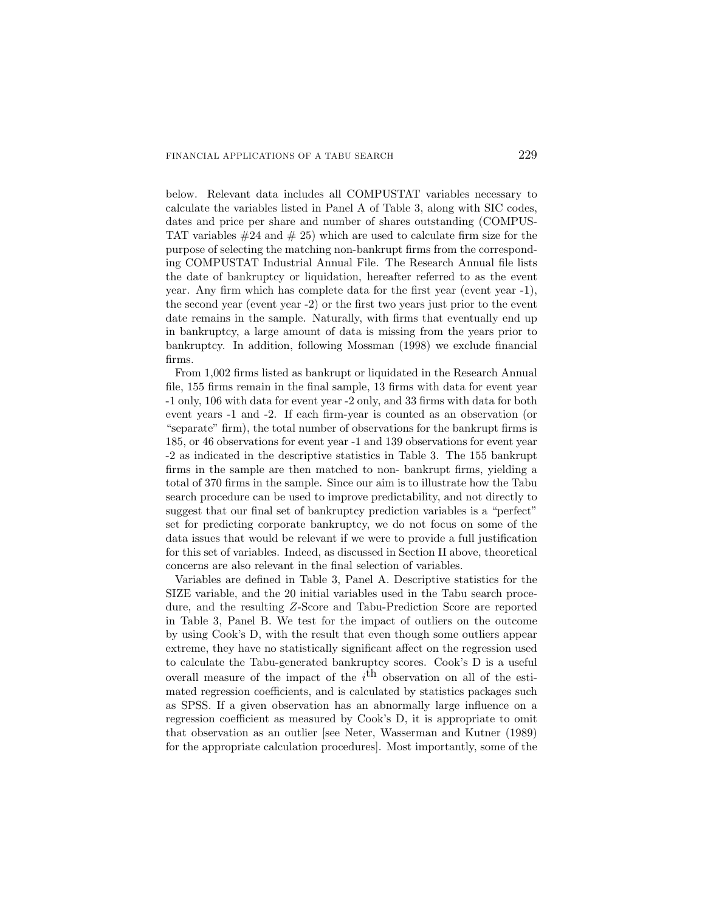below. Relevant data includes all COMPUSTAT variables necessary to calculate the variables listed in Panel A of Table 3, along with SIC codes, dates and price per share and number of shares outstanding (COMPUS-TAT variables  $\#24$  and  $\#25$ ) which are used to calculate firm size for the purpose of selecting the matching non-bankrupt firms from the corresponding COMPUSTAT Industrial Annual File. The Research Annual file lists the date of bankruptcy or liquidation, hereafter referred to as the event year. Any firm which has complete data for the first year (event year -1), the second year (event year -2) or the first two years just prior to the event date remains in the sample. Naturally, with firms that eventually end up in bankruptcy, a large amount of data is missing from the years prior to bankruptcy. In addition, following Mossman (1998) we exclude financial firms.

From 1,002 firms listed as bankrupt or liquidated in the Research Annual file, 155 firms remain in the final sample, 13 firms with data for event year -1 only, 106 with data for event year -2 only, and 33 firms with data for both event years -1 and -2. If each firm-year is counted as an observation (or "separate" firm), the total number of observations for the bankrupt firms is 185, or 46 observations for event year -1 and 139 observations for event year -2 as indicated in the descriptive statistics in Table 3. The 155 bankrupt firms in the sample are then matched to non- bankrupt firms, yielding a total of 370 firms in the sample. Since our aim is to illustrate how the Tabu search procedure can be used to improve predictability, and not directly to suggest that our final set of bankruptcy prediction variables is a "perfect" set for predicting corporate bankruptcy, we do not focus on some of the data issues that would be relevant if we were to provide a full justification for this set of variables. Indeed, as discussed in Section II above, theoretical concerns are also relevant in the final selection of variables.

Variables are defined in Table 3, Panel A. Descriptive statistics for the SIZE variable, and the 20 initial variables used in the Tabu search procedure, and the resulting Z-Score and Tabu-Prediction Score are reported in Table 3, Panel B. We test for the impact of outliers on the outcome by using Cook's D, with the result that even though some outliers appear extreme, they have no statistically significant affect on the regression used to calculate the Tabu-generated bankruptcy scores. Cook's D is a useful overall measure of the impact of the  $i^{\text{th}}$  observation on all of the estimated regression coefficients, and is calculated by statistics packages such as SPSS. If a given observation has an abnormally large influence on a regression coefficient as measured by Cook's D, it is appropriate to omit that observation as an outlier [see Neter, Wasserman and Kutner (1989) for the appropriate calculation procedures]. Most importantly, some of the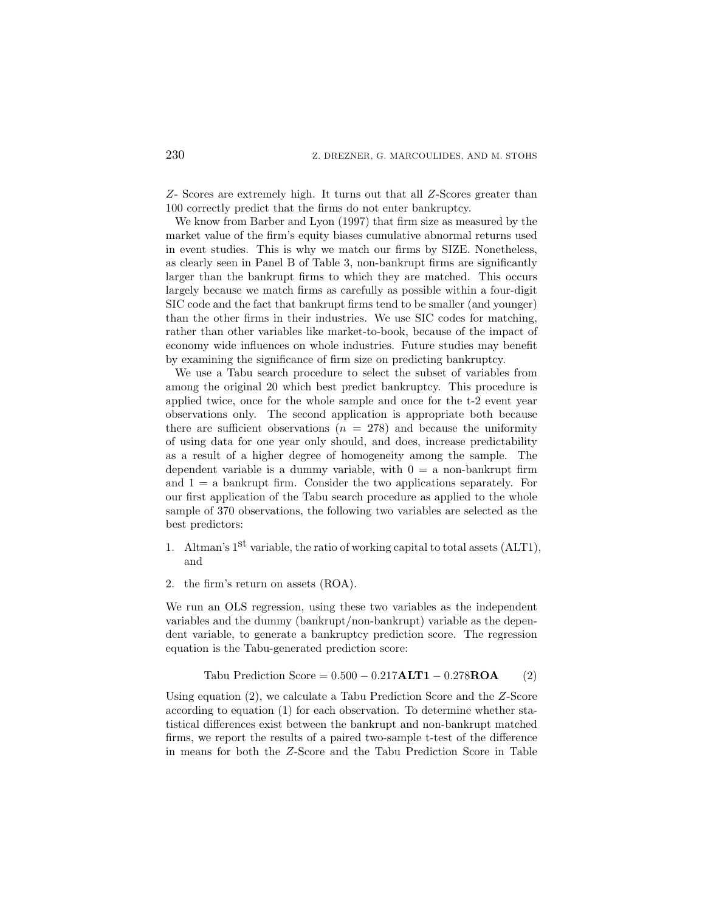Z- Scores are extremely high. It turns out that all Z-Scores greater than 100 correctly predict that the firms do not enter bankruptcy.

We know from Barber and Lyon (1997) that firm size as measured by the market value of the firm's equity biases cumulative abnormal returns used in event studies. This is why we match our firms by SIZE. Nonetheless, as clearly seen in Panel B of Table 3, non-bankrupt firms are significantly larger than the bankrupt firms to which they are matched. This occurs largely because we match firms as carefully as possible within a four-digit SIC code and the fact that bankrupt firms tend to be smaller (and younger) than the other firms in their industries. We use SIC codes for matching, rather than other variables like market-to-book, because of the impact of economy wide influences on whole industries. Future studies may benefit by examining the significance of firm size on predicting bankruptcy.

We use a Tabu search procedure to select the subset of variables from among the original 20 which best predict bankruptcy. This procedure is applied twice, once for the whole sample and once for the t-2 event year observations only. The second application is appropriate both because there are sufficient observations  $(n = 278)$  and because the uniformity of using data for one year only should, and does, increase predictability as a result of a higher degree of homogeneity among the sample. The dependent variable is a dummy variable, with  $0 = a$  non-bankrupt firm and  $1 = a$  bankrupt firm. Consider the two applications separately. For our first application of the Tabu search procedure as applied to the whole sample of 370 observations, the following two variables are selected as the best predictors:

- 1. Altman's  $1^{st}$  variable, the ratio of working capital to total assets  $(ALT1)$ , and
- 2. the firm's return on assets (ROA).

We run an OLS regression, using these two variables as the independent variables and the dummy (bankrupt/non-bankrupt) variable as the dependent variable, to generate a bankruptcy prediction score. The regression equation is the Tabu-generated prediction score:

$$
Tabu Prediction Score = 0.500 - 0.217 ALT1 - 0.278 ROA (2)
$$

Using equation (2), we calculate a Tabu Prediction Score and the Z-Score according to equation (1) for each observation. To determine whether statistical differences exist between the bankrupt and non-bankrupt matched firms, we report the results of a paired two-sample t-test of the difference in means for both the Z-Score and the Tabu Prediction Score in Table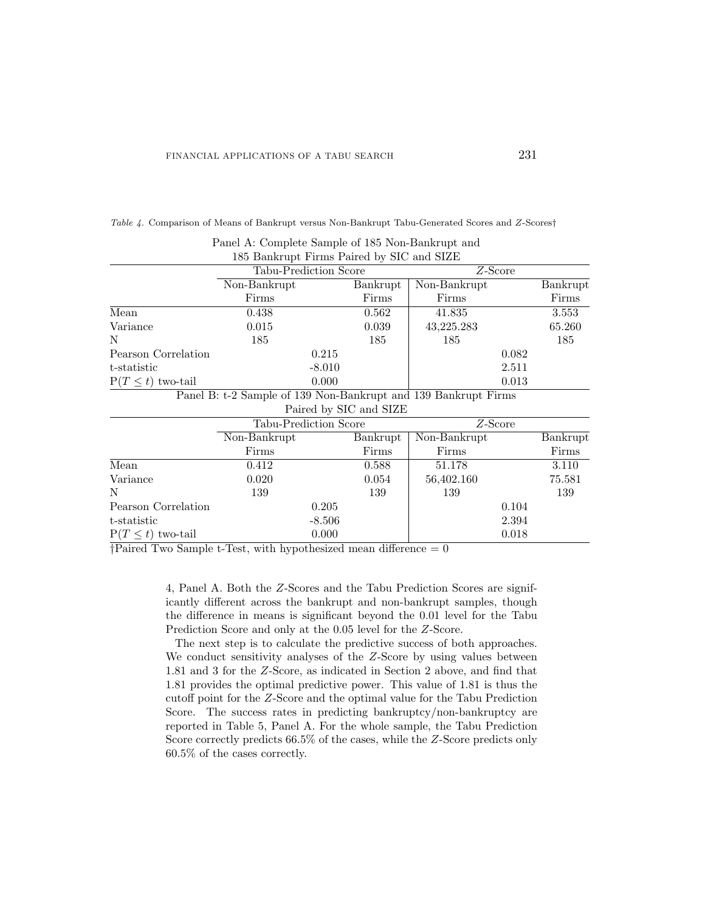|                        | Panel A: Complete Sample of 185 Non-Bankrupt and               |          |                        |              |       |          |  |
|------------------------|----------------------------------------------------------------|----------|------------------------|--------------|-------|----------|--|
|                        | 185 Bankrupt Firms Paired by SIC and SIZE                      |          |                        |              |       |          |  |
|                        | Tabu-Prediction Score                                          |          |                        | $Z$ -Score   |       |          |  |
|                        | Non-Bankrupt                                                   |          | Bankrupt               | Non-Bankrupt |       | Bankrupt |  |
|                        | Firms                                                          |          | Firms                  | Firms        |       | Firms    |  |
| Mean                   | 0.438                                                          |          | 0.562                  | 41.835       |       | 3.553    |  |
| Variance               | 0.015                                                          |          | 0.039                  | 43,225.283   |       | 65.260   |  |
| N                      | 185                                                            |          | 185                    | 185          |       | 185      |  |
| Pearson Correlation    |                                                                | 0.215    |                        |              | 0.082 |          |  |
| t-statistic            |                                                                | $-8.010$ |                        |              | 2.511 |          |  |
| $P(T \leq t)$ two-tail |                                                                | 0.000    |                        | 0.013        |       |          |  |
|                        | Panel B: t-2 Sample of 139 Non-Bankrupt and 139 Bankrupt Firms |          |                        |              |       |          |  |
|                        |                                                                |          | Paired by SIC and SIZE |              |       |          |  |
|                        | Tabu-Prediction Score                                          |          |                        | $Z$ -Score   |       |          |  |
|                        | Non-Bankrupt                                                   |          | Bankrupt               | Non-Bankrupt |       | Bankrupt |  |
|                        | Firms                                                          |          | Firms                  | Firms        |       | Firms    |  |
| Mean                   | 0.412                                                          |          | 0.588                  | 51.178       |       | 3.110    |  |
| Variance               | 0.020                                                          |          | 0.054                  | 56,402.160   |       | 75.581   |  |
| N                      | 139                                                            |          | 139                    | 139          |       | 139      |  |
| Pearson Correlation    | 0.205                                                          |          | 0.104                  |              |       |          |  |
| t-statistic            | $-8.506$                                                       |          | 2.394                  |              |       |          |  |
| $P(T \leq t)$ two-tail |                                                                | 0.000    |                        |              | 0.018 |          |  |

Table 4. Comparison of Means of Bankrupt versus Non-Bankrupt Tabu-Generated Scores and Z-Scores†

 $\dagger$ Paired Two Sample t-Test, with hypothesized mean difference = 0

4, Panel A. Both the Z-Scores and the Tabu Prediction Scores are significantly different across the bankrupt and non-bankrupt samples, though the difference in means is significant beyond the 0.01 level for the Tabu Prediction Score and only at the 0.05 level for the Z-Score.

The next step is to calculate the predictive success of both approaches. We conduct sensitivity analyses of the Z-Score by using values between 1.81 and 3 for the Z-Score, as indicated in Section 2 above, and find that 1.81 provides the optimal predictive power. This value of 1.81 is thus the cutoff point for the Z-Score and the optimal value for the Tabu Prediction Score. The success rates in predicting bankruptcy/non-bankruptcy are reported in Table 5, Panel A. For the whole sample, the Tabu Prediction Score correctly predicts 66.5% of the cases, while the Z-Score predicts only 60.5% of the cases correctly.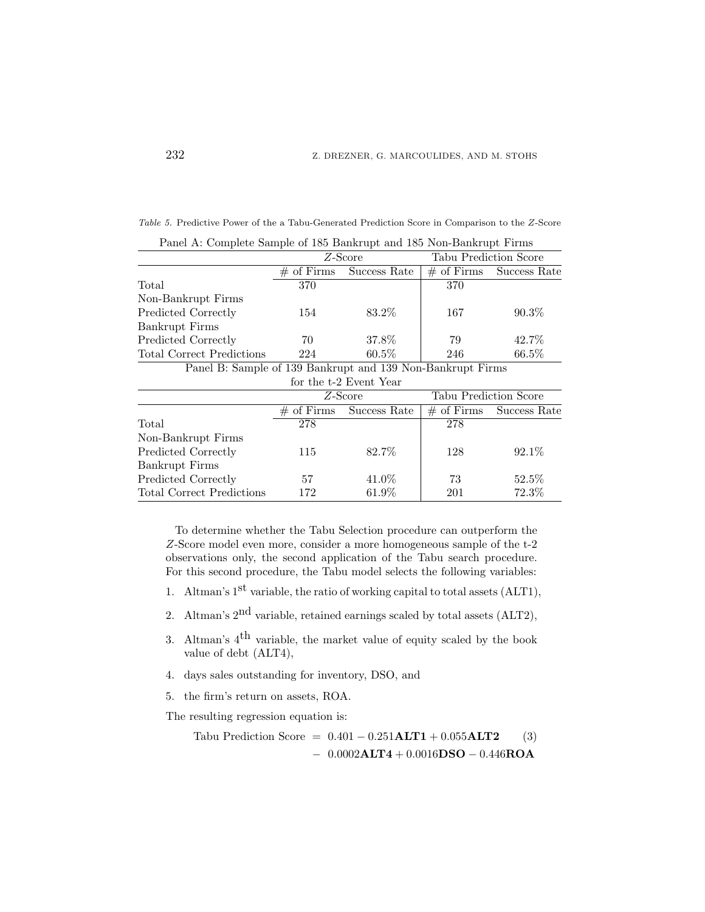Table 5. Predictive Power of the a Tabu-Generated Prediction Score in Comparison to the Z-Score

| I allet A. Complete Sample of 100 Dankrupt and 100 roll-Dankrupt Firms                                                                                                                                                               |                               |            |                       |                            |  |
|--------------------------------------------------------------------------------------------------------------------------------------------------------------------------------------------------------------------------------------|-------------------------------|------------|-----------------------|----------------------------|--|
|                                                                                                                                                                                                                                      |                               | $Z$ -Score | Tabu Prediction Score |                            |  |
|                                                                                                                                                                                                                                      | Success Rate<br>$\#$ of Firms |            |                       | $\#$ of Firms Success Rate |  |
| Total                                                                                                                                                                                                                                | 370                           |            | 370                   |                            |  |
| Non-Bankrupt Firms                                                                                                                                                                                                                   |                               |            |                       |                            |  |
| Predicted Correctly                                                                                                                                                                                                                  | 154                           | 83.2%      | 167                   | $90.3\%$                   |  |
| Bankrupt Firms                                                                                                                                                                                                                       |                               |            |                       |                            |  |
| Predicted Correctly                                                                                                                                                                                                                  | 70                            | 37.8%      | 79                    | 42.7%                      |  |
| <b>Total Correct Predictions</b>                                                                                                                                                                                                     | 224                           | $60.5\%$   | 246                   | $66.5\%$                   |  |
| $\Gamma$ . The find $\Gamma$ is the final to the final term in the final term in the final term in the final term in the final term in the final term in the final term in the final term in the final term in the final term in the |                               |            |                       |                            |  |

Panel A: Complete Sample of 185 Bankrupt and 185 Non-Bankrupt Firms

Panel B: Sample of 139 Bankrupt and 139 Non-Bankrupt Firms for the t-2 Event Year

|                                  |               | $Z$ -Score   | Tabu Prediction Score |                            |  |
|----------------------------------|---------------|--------------|-----------------------|----------------------------|--|
|                                  | $\#$ of Firms | Success Rate |                       | $\#$ of Firms Success Rate |  |
| Total                            | 278           |              | 278                   |                            |  |
| Non-Bankrupt Firms               |               |              |                       |                            |  |
| Predicted Correctly              | 115           | 82.7%        | 128                   | $92.1\%$                   |  |
| Bankrupt Firms                   |               |              |                       |                            |  |
| Predicted Correctly              | 57            | 41.0%        | 73                    | 52.5%                      |  |
| <b>Total Correct Predictions</b> | 172           | 61.9%        | 201                   | 72.3%                      |  |

To determine whether the Tabu Selection procedure can outperform the Z-Score model even more, consider a more homogeneous sample of the t-2 observations only, the second application of the Tabu search procedure. For this second procedure, the Tabu model selects the following variables:

- 1. Altman's  $1^{st}$  variable, the ratio of working capital to total assets (ALT1),
- 2. Altman's 2nd variable, retained earnings scaled by total assets (ALT2),
- 3. Altman's  $4<sup>th</sup>$  variable, the market value of equity scaled by the book value of debt (ALT4),
- 4. days sales outstanding for inventory, DSO, and
- 5. the firm's return on assets, ROA.

The resulting regression equation is:

Tabu Prediction Score = 
$$
0.401 - 0.251
$$
**ALT1** +  $0.055$ **ALT2** (3)

\n $- 0.0002$ **ALT4** +  $0.0016$ **DSO** -  $0.446$ **ROA**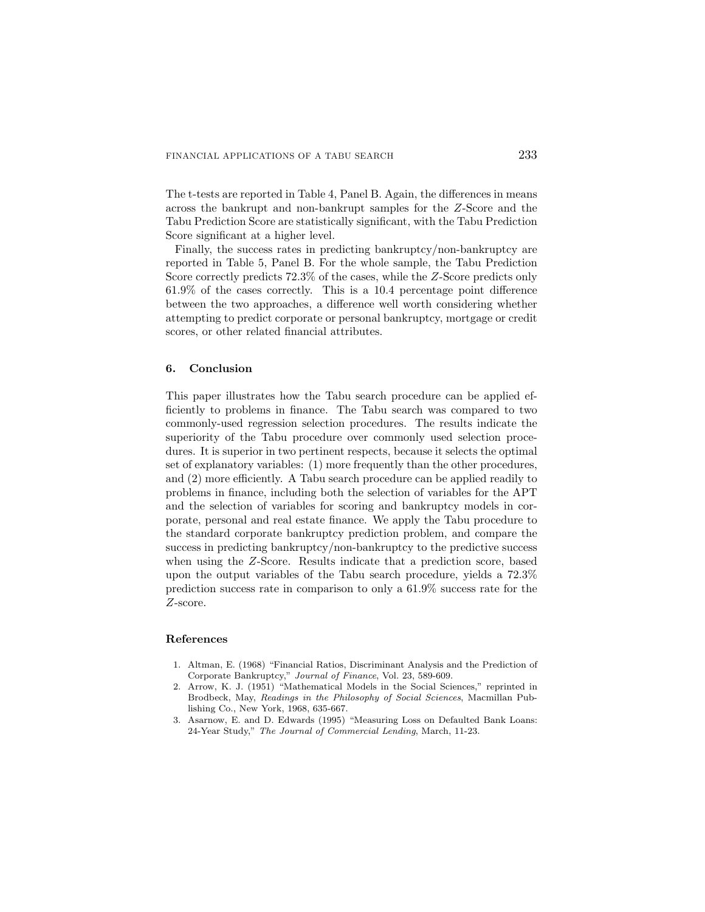The t-tests are reported in Table 4, Panel B. Again, the differences in means across the bankrupt and non-bankrupt samples for the Z-Score and the Tabu Prediction Score are statistically significant, with the Tabu Prediction Score significant at a higher level.

Finally, the success rates in predicting bankruptcy/non-bankruptcy are reported in Table 5, Panel B. For the whole sample, the Tabu Prediction Score correctly predicts 72.3% of the cases, while the Z-Score predicts only 61.9% of the cases correctly. This is a 10.4 percentage point difference between the two approaches, a difference well worth considering whether attempting to predict corporate or personal bankruptcy, mortgage or credit scores, or other related financial attributes.

## 6. Conclusion

This paper illustrates how the Tabu search procedure can be applied efficiently to problems in finance. The Tabu search was compared to two commonly-used regression selection procedures. The results indicate the superiority of the Tabu procedure over commonly used selection procedures. It is superior in two pertinent respects, because it selects the optimal set of explanatory variables: (1) more frequently than the other procedures, and (2) more efficiently. A Tabu search procedure can be applied readily to problems in finance, including both the selection of variables for the APT and the selection of variables for scoring and bankruptcy models in corporate, personal and real estate finance. We apply the Tabu procedure to the standard corporate bankruptcy prediction problem, and compare the success in predicting bankruptcy/non-bankruptcy to the predictive success when using the Z-Score. Results indicate that a prediction score, based upon the output variables of the Tabu search procedure, yields a 72.3% prediction success rate in comparison to only a 61.9% success rate for the Z-score.

#### References

- 1. Altman, E. (1968) "Financial Ratios, Discriminant Analysis and the Prediction of Corporate Bankruptcy," Journal of Finance, Vol. 23, 589-609.
- 2. Arrow, K. J. (1951) "Mathematical Models in the Social Sciences," reprinted in Brodbeck, May, Readings in the Philosophy of Social Sciences, Macmillan Publishing Co., New York, 1968, 635-667.
- 3. Asarnow, E. and D. Edwards (1995) "Measuring Loss on Defaulted Bank Loans: 24-Year Study," The Journal of Commercial Lending, March, 11-23.